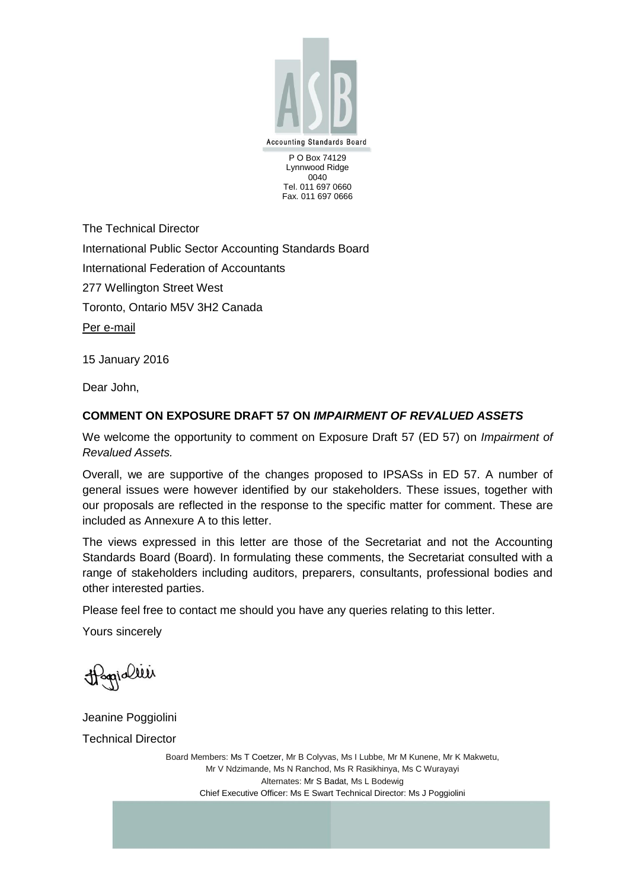

Lynnwood Ridge 0040 Tel. 011 697 0660 Fax. 011 697 0666

The Technical Director International Public Sector Accounting Standards Board International Federation of Accountants 277 Wellington Street West Toronto, Ontario M5V 3H2 Canada Per e-mail

15 January 2016

Dear John,

## **COMMENT ON EXPOSURE DRAFT 57 ON** *IMPAIRMENT OF REVALUED ASSETS*

We welcome the opportunity to comment on Exposure Draft 57 (ED 57) on *Impairment of Revalued Assets.*

Overall, we are supportive of the changes proposed to IPSASs in ED 57. A number of general issues were however identified by our stakeholders. These issues, together with our proposals are reflected in the response to the specific matter for comment. These are included as Annexure A to this letter.

The views expressed in this letter are those of the Secretariat and not the Accounting Standards Board (Board). In formulating these comments, the Secretariat consulted with a range of stakeholders including auditors, preparers, consultants, professional bodies and other interested parties.

Please feel free to contact me should you have any queries relating to this letter.

Yours sincerely

Hagialier

Jeanine Poggiolini

Technical Director

Board Members: Ms T Coetzer, Mr B Colyvas, Ms I Lubbe, Mr M Kunene, Mr K Makwetu, Mr V Ndzimande, Ms N Ranchod, Ms R Rasikhinya, Ms C Wurayayi Alternates: Mr S Badat, Ms L Bodewig Chief Executive Officer: Ms E Swart Technical Director: Ms J Poggiolini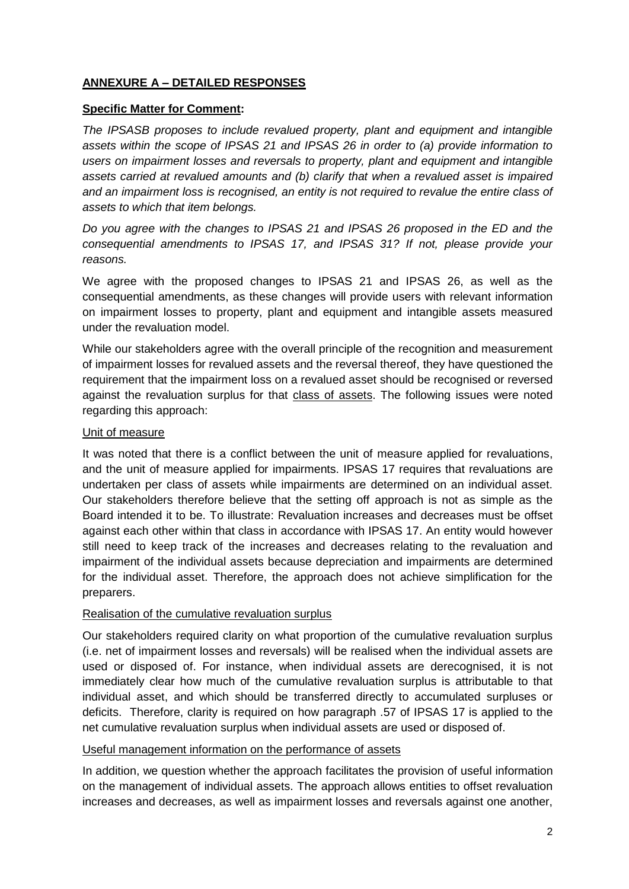# **ANNEXURE A – DETAILED RESPONSES**

## **Specific Matter for Comment:**

*The IPSASB proposes to include revalued property, plant and equipment and intangible assets within the scope of IPSAS 21 and IPSAS 26 in order to (a) provide information to users on impairment losses and reversals to property, plant and equipment and intangible assets carried at revalued amounts and (b) clarify that when a revalued asset is impaired and an impairment loss is recognised, an entity is not required to revalue the entire class of assets to which that item belongs.*

*Do you agree with the changes to IPSAS 21 and IPSAS 26 proposed in the ED and the consequential amendments to IPSAS 17, and IPSAS 31? If not, please provide your reasons.*

We agree with the proposed changes to IPSAS 21 and IPSAS 26, as well as the consequential amendments, as these changes will provide users with relevant information on impairment losses to property, plant and equipment and intangible assets measured under the revaluation model.

While our stakeholders agree with the overall principle of the recognition and measurement of impairment losses for revalued assets and the reversal thereof, they have questioned the requirement that the impairment loss on a revalued asset should be recognised or reversed against the revaluation surplus for that class of assets. The following issues were noted regarding this approach:

## Unit of measure

It was noted that there is a conflict between the unit of measure applied for revaluations, and the unit of measure applied for impairments. IPSAS 17 requires that revaluations are undertaken per class of assets while impairments are determined on an individual asset. Our stakeholders therefore believe that the setting off approach is not as simple as the Board intended it to be. To illustrate: Revaluation increases and decreases must be offset against each other within that class in accordance with IPSAS 17. An entity would however still need to keep track of the increases and decreases relating to the revaluation and impairment of the individual assets because depreciation and impairments are determined for the individual asset. Therefore, the approach does not achieve simplification for the preparers.

#### Realisation of the cumulative revaluation surplus

Our stakeholders required clarity on what proportion of the cumulative revaluation surplus (i.e. net of impairment losses and reversals) will be realised when the individual assets are used or disposed of. For instance, when individual assets are derecognised, it is not immediately clear how much of the cumulative revaluation surplus is attributable to that individual asset, and which should be transferred directly to accumulated surpluses or deficits. Therefore, clarity is required on how paragraph .57 of IPSAS 17 is applied to the net cumulative revaluation surplus when individual assets are used or disposed of.

#### Useful management information on the performance of assets

In addition, we question whether the approach facilitates the provision of useful information on the management of individual assets. The approach allows entities to offset revaluation increases and decreases, as well as impairment losses and reversals against one another,